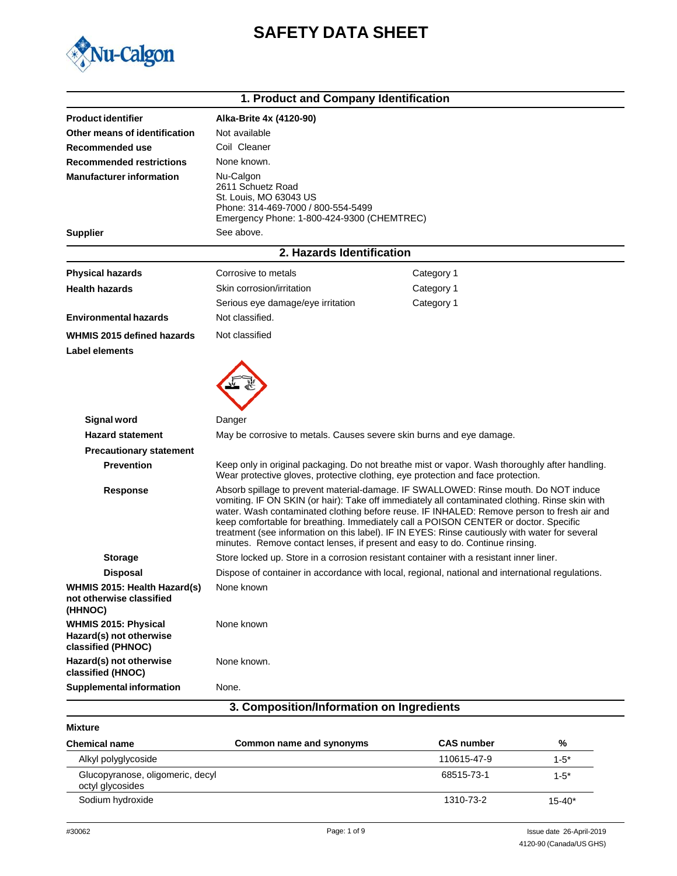# **SAFETY DATA SHEET**



|                                                                              | 1. Product and Company Identification                                                                                                        |                                                                                                                                                                                                                                                                                                                                                                                                                                                                                                                                                                 |  |
|------------------------------------------------------------------------------|----------------------------------------------------------------------------------------------------------------------------------------------|-----------------------------------------------------------------------------------------------------------------------------------------------------------------------------------------------------------------------------------------------------------------------------------------------------------------------------------------------------------------------------------------------------------------------------------------------------------------------------------------------------------------------------------------------------------------|--|
| <b>Product identifier</b>                                                    | Alka-Brite 4x (4120-90)                                                                                                                      |                                                                                                                                                                                                                                                                                                                                                                                                                                                                                                                                                                 |  |
| Other means of identification                                                | Not available                                                                                                                                |                                                                                                                                                                                                                                                                                                                                                                                                                                                                                                                                                                 |  |
| Recommended use                                                              | Coil Cleaner                                                                                                                                 |                                                                                                                                                                                                                                                                                                                                                                                                                                                                                                                                                                 |  |
| <b>Recommended restrictions</b>                                              | None known.                                                                                                                                  |                                                                                                                                                                                                                                                                                                                                                                                                                                                                                                                                                                 |  |
| <b>Manufacturer information</b>                                              | Nu-Calgon<br>2611 Schuetz Road<br>St. Louis, MO 63043 US<br>Phone: 314-469-7000 / 800-554-5499<br>Emergency Phone: 1-800-424-9300 (CHEMTREC) |                                                                                                                                                                                                                                                                                                                                                                                                                                                                                                                                                                 |  |
| <b>Supplier</b>                                                              | See above.                                                                                                                                   |                                                                                                                                                                                                                                                                                                                                                                                                                                                                                                                                                                 |  |
|                                                                              | 2. Hazards Identification                                                                                                                    |                                                                                                                                                                                                                                                                                                                                                                                                                                                                                                                                                                 |  |
| <b>Physical hazards</b>                                                      | Corrosive to metals                                                                                                                          | Category 1                                                                                                                                                                                                                                                                                                                                                                                                                                                                                                                                                      |  |
| <b>Health hazards</b>                                                        | Skin corrosion/irritation                                                                                                                    | Category 1                                                                                                                                                                                                                                                                                                                                                                                                                                                                                                                                                      |  |
|                                                                              | Serious eye damage/eye irritation                                                                                                            | Category 1                                                                                                                                                                                                                                                                                                                                                                                                                                                                                                                                                      |  |
| <b>Environmental hazards</b>                                                 | Not classified.                                                                                                                              |                                                                                                                                                                                                                                                                                                                                                                                                                                                                                                                                                                 |  |
| WHMIS 2015 defined hazards                                                   | Not classified                                                                                                                               |                                                                                                                                                                                                                                                                                                                                                                                                                                                                                                                                                                 |  |
| <b>Label elements</b>                                                        |                                                                                                                                              |                                                                                                                                                                                                                                                                                                                                                                                                                                                                                                                                                                 |  |
|                                                                              |                                                                                                                                              |                                                                                                                                                                                                                                                                                                                                                                                                                                                                                                                                                                 |  |
| <b>Signal word</b>                                                           | Danger                                                                                                                                       |                                                                                                                                                                                                                                                                                                                                                                                                                                                                                                                                                                 |  |
| <b>Hazard statement</b>                                                      | May be corrosive to metals. Causes severe skin burns and eye damage.                                                                         |                                                                                                                                                                                                                                                                                                                                                                                                                                                                                                                                                                 |  |
| <b>Precautionary statement</b>                                               |                                                                                                                                              |                                                                                                                                                                                                                                                                                                                                                                                                                                                                                                                                                                 |  |
| <b>Prevention</b>                                                            |                                                                                                                                              | Keep only in original packaging. Do not breathe mist or vapor. Wash thoroughly after handling.<br>Wear protective gloves, protective clothing, eye protection and face protection.                                                                                                                                                                                                                                                                                                                                                                              |  |
| Response                                                                     |                                                                                                                                              | Absorb spillage to prevent material-damage. IF SWALLOWED: Rinse mouth. Do NOT induce<br>vomiting. IF ON SKIN (or hair): Take off immediately all contaminated clothing. Rinse skin with<br>water. Wash contaminated clothing before reuse. IF INHALED: Remove person to fresh air and<br>keep comfortable for breathing. Immediately call a POISON CENTER or doctor. Specific<br>treatment (see information on this label). IF IN EYES: Rinse cautiously with water for several<br>minutes. Remove contact lenses, if present and easy to do. Continue rinsing. |  |
| <b>Storage</b>                                                               |                                                                                                                                              | Store locked up. Store in a corrosion resistant container with a resistant inner liner.                                                                                                                                                                                                                                                                                                                                                                                                                                                                         |  |
| <b>Disposal</b>                                                              |                                                                                                                                              | Dispose of container in accordance with local, regional, national and international regulations.                                                                                                                                                                                                                                                                                                                                                                                                                                                                |  |
| WHMIS 2015: Health Hazard(s)<br>not otherwise classified<br>(HHNOC)          | None known                                                                                                                                   |                                                                                                                                                                                                                                                                                                                                                                                                                                                                                                                                                                 |  |
| <b>WHMIS 2015: Physical</b><br>Hazard(s) not otherwise<br>classified (PHNOC) | None known                                                                                                                                   |                                                                                                                                                                                                                                                                                                                                                                                                                                                                                                                                                                 |  |
| Hazard(s) not otherwise<br>classified (HNOC)                                 | None known.                                                                                                                                  |                                                                                                                                                                                                                                                                                                                                                                                                                                                                                                                                                                 |  |
| <b>Supplemental information</b>                                              | None.                                                                                                                                        |                                                                                                                                                                                                                                                                                                                                                                                                                                                                                                                                                                 |  |
|                                                                              | 3. Composition/Information on Ingredients                                                                                                    |                                                                                                                                                                                                                                                                                                                                                                                                                                                                                                                                                                 |  |

### **Mixture**

| <b>Chemical name</b>                                 | Common name and synonyms | <b>CAS number</b> | %          |
|------------------------------------------------------|--------------------------|-------------------|------------|
| Alkyl polyglycoside                                  |                          | 110615-47-9       | $1 - 5^*$  |
| Glucopyranose, oligomeric, decyl<br>octyl glycosides |                          | 68515-73-1        | $1 - 5^*$  |
| Sodium hydroxide                                     |                          | 1310-73-2         | $15 - 40*$ |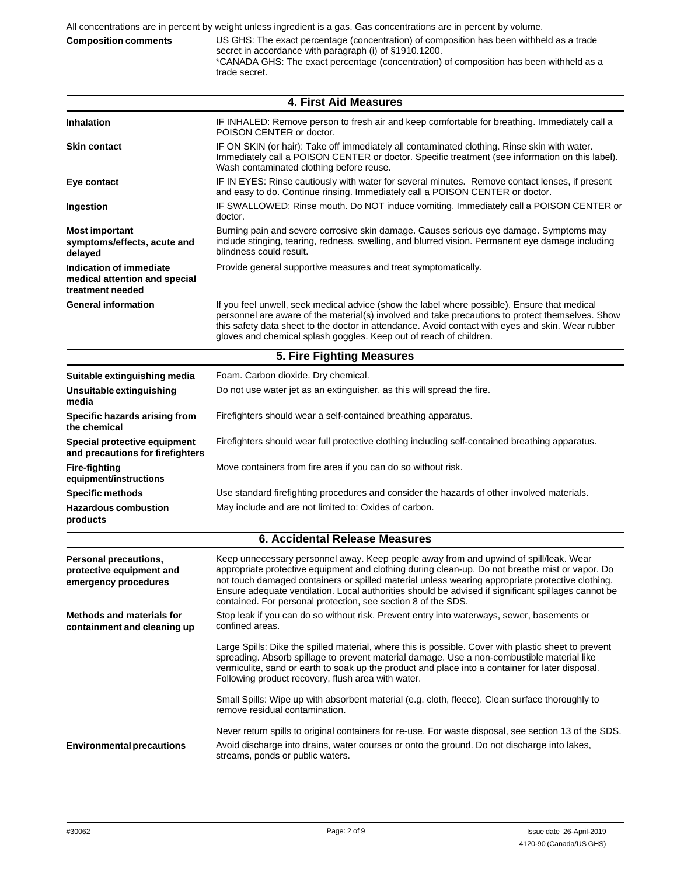**Composition comments** US GHS: The exact percentage (concentration) of composition has been withheld as a trade secret in accordance with paragraph (i) of §1910.1200. \*CANADA GHS: The exact percentage (concentration) of composition has been withheld as a trade secret.

| <b>4. First Aid Measures</b>                                                 |                                                                                                                                                                                                                                                                                                                                                                                                                                                                      |  |  |  |
|------------------------------------------------------------------------------|----------------------------------------------------------------------------------------------------------------------------------------------------------------------------------------------------------------------------------------------------------------------------------------------------------------------------------------------------------------------------------------------------------------------------------------------------------------------|--|--|--|
| <b>Inhalation</b>                                                            | IF INHALED: Remove person to fresh air and keep comfortable for breathing. Immediately call a<br>POISON CENTER or doctor.                                                                                                                                                                                                                                                                                                                                            |  |  |  |
| <b>Skin contact</b>                                                          | IF ON SKIN (or hair): Take off immediately all contaminated clothing. Rinse skin with water.<br>Immediately call a POISON CENTER or doctor. Specific treatment (see information on this label).<br>Wash contaminated clothing before reuse.                                                                                                                                                                                                                          |  |  |  |
| Eye contact                                                                  | IF IN EYES: Rinse cautiously with water for several minutes. Remove contact lenses, if present<br>and easy to do. Continue rinsing. Immediately call a POISON CENTER or doctor.                                                                                                                                                                                                                                                                                      |  |  |  |
| Ingestion                                                                    | IF SWALLOWED: Rinse mouth. Do NOT induce vomiting. Immediately call a POISON CENTER or<br>doctor.                                                                                                                                                                                                                                                                                                                                                                    |  |  |  |
| <b>Most important</b><br>symptoms/effects, acute and<br>delayed              | Burning pain and severe corrosive skin damage. Causes serious eye damage. Symptoms may<br>include stinging, tearing, redness, swelling, and blurred vision. Permanent eye damage including<br>blindness could result.                                                                                                                                                                                                                                                |  |  |  |
| Indication of immediate<br>medical attention and special<br>treatment needed | Provide general supportive measures and treat symptomatically.                                                                                                                                                                                                                                                                                                                                                                                                       |  |  |  |
| <b>General information</b>                                                   | If you feel unwell, seek medical advice (show the label where possible). Ensure that medical<br>personnel are aware of the material(s) involved and take precautions to protect themselves. Show<br>this safety data sheet to the doctor in attendance. Avoid contact with eyes and skin. Wear rubber<br>gloves and chemical splash goggles. Keep out of reach of children.                                                                                          |  |  |  |
|                                                                              | 5. Fire Fighting Measures                                                                                                                                                                                                                                                                                                                                                                                                                                            |  |  |  |
| Suitable extinguishing media                                                 | Foam. Carbon dioxide. Dry chemical.                                                                                                                                                                                                                                                                                                                                                                                                                                  |  |  |  |
| Unsuitable extinguishing<br>media                                            | Do not use water jet as an extinguisher, as this will spread the fire.                                                                                                                                                                                                                                                                                                                                                                                               |  |  |  |
| Specific hazards arising from<br>the chemical                                | Firefighters should wear a self-contained breathing apparatus.                                                                                                                                                                                                                                                                                                                                                                                                       |  |  |  |
| Special protective equipment<br>and precautions for firefighters             | Firefighters should wear full protective clothing including self-contained breathing apparatus.                                                                                                                                                                                                                                                                                                                                                                      |  |  |  |
| <b>Fire-fighting</b><br>equipment/instructions                               | Move containers from fire area if you can do so without risk.                                                                                                                                                                                                                                                                                                                                                                                                        |  |  |  |
| <b>Specific methods</b>                                                      | Use standard firefighting procedures and consider the hazards of other involved materials.                                                                                                                                                                                                                                                                                                                                                                           |  |  |  |
| <b>Hazardous combustion</b><br>products                                      | May include and are not limited to: Oxides of carbon.                                                                                                                                                                                                                                                                                                                                                                                                                |  |  |  |
|                                                                              | <b>6. Accidental Release Measures</b>                                                                                                                                                                                                                                                                                                                                                                                                                                |  |  |  |
| Personal precautions,<br>protective equipment and<br>emergency procedures    | Keep unnecessary personnel away. Keep people away from and upwind of spill/leak. Wear<br>appropriate protective equipment and clothing during clean-up. Do not breathe mist or vapor. Do<br>not touch damaged containers or spilled material unless wearing appropriate protective clothing.<br>Ensure adequate ventilation. Local authorities should be advised if significant spillages cannot be<br>contained. For personal protection, see section 8 of the SDS. |  |  |  |
| <b>Methods and materials for</b><br>containment and cleaning up              | Stop leak if you can do so without risk. Prevent entry into waterways, sewer, basements or<br>confined areas.                                                                                                                                                                                                                                                                                                                                                        |  |  |  |
|                                                                              | Large Spills: Dike the spilled material, where this is possible. Cover with plastic sheet to prevent<br>spreading. Absorb spillage to prevent material damage. Use a non-combustible material like<br>vermiculite, sand or earth to soak up the product and place into a container for later disposal.<br>Following product recovery, flush area with water.                                                                                                         |  |  |  |
|                                                                              | Small Spills: Wipe up with absorbent material (e.g. cloth, fleece). Clean surface thoroughly to<br>remove residual contamination.                                                                                                                                                                                                                                                                                                                                    |  |  |  |
| <b>Environmental precautions</b>                                             | Never return spills to original containers for re-use. For waste disposal, see section 13 of the SDS.<br>Avoid discharge into drains, water courses or onto the ground. Do not discharge into lakes,<br>streams, ponds or public waters.                                                                                                                                                                                                                             |  |  |  |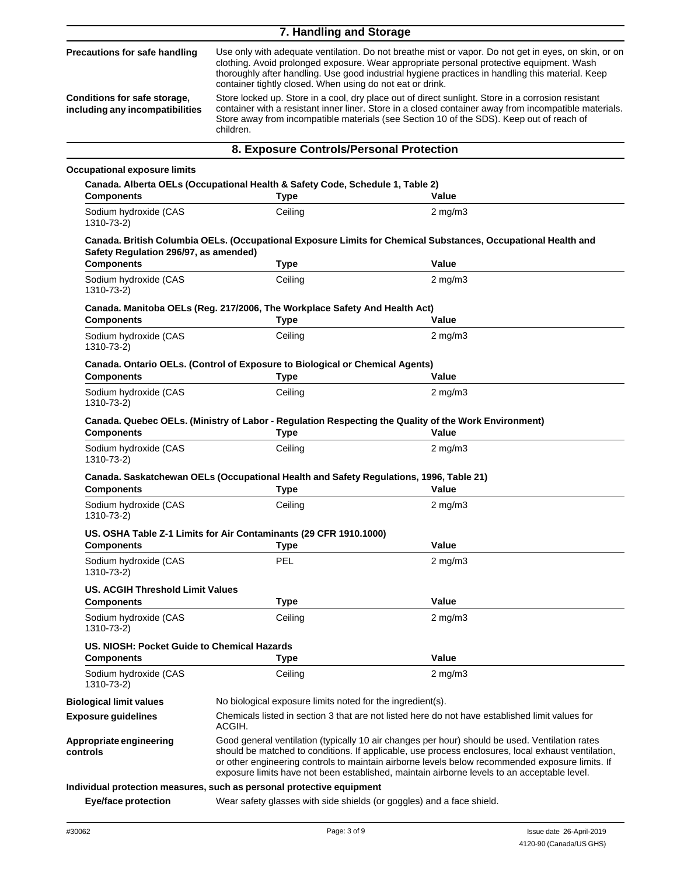|                                                                                                         | 7. Handling and Storage                                                                                                                                                                                                                                                                                                                                                                                                                                                                                                                                                                                                                                                                   |                                                                                                               |  |
|---------------------------------------------------------------------------------------------------------|-------------------------------------------------------------------------------------------------------------------------------------------------------------------------------------------------------------------------------------------------------------------------------------------------------------------------------------------------------------------------------------------------------------------------------------------------------------------------------------------------------------------------------------------------------------------------------------------------------------------------------------------------------------------------------------------|---------------------------------------------------------------------------------------------------------------|--|
| <b>Precautions for safe handling</b><br>Conditions for safe storage,<br>including any incompatibilities | Use only with adequate ventilation. Do not breathe mist or vapor. Do not get in eyes, on skin, or on<br>clothing. Avoid prolonged exposure. Wear appropriate personal protective equipment. Wash<br>thoroughly after handling. Use good industrial hygiene practices in handling this material. Keep<br>container tightly closed. When using do not eat or drink.<br>Store locked up. Store in a cool, dry place out of direct sunlight. Store in a corrosion resistant<br>container with a resistant inner liner. Store in a closed container away from incompatible materials.<br>Store away from incompatible materials (see Section 10 of the SDS). Keep out of reach of<br>children. |                                                                                                               |  |
|                                                                                                         | 8. Exposure Controls/Personal Protection                                                                                                                                                                                                                                                                                                                                                                                                                                                                                                                                                                                                                                                  |                                                                                                               |  |
| <b>Occupational exposure limits</b>                                                                     |                                                                                                                                                                                                                                                                                                                                                                                                                                                                                                                                                                                                                                                                                           |                                                                                                               |  |
|                                                                                                         | Canada. Alberta OELs (Occupational Health & Safety Code, Schedule 1, Table 2)                                                                                                                                                                                                                                                                                                                                                                                                                                                                                                                                                                                                             |                                                                                                               |  |
| <b>Components</b>                                                                                       | <b>Type</b>                                                                                                                                                                                                                                                                                                                                                                                                                                                                                                                                                                                                                                                                               | Value                                                                                                         |  |
| Sodium hydroxide (CAS<br>1310-73-2)                                                                     | Ceiling                                                                                                                                                                                                                                                                                                                                                                                                                                                                                                                                                                                                                                                                                   | $2 \text{ mg/m}$                                                                                              |  |
| Safety Regulation 296/97, as amended)                                                                   |                                                                                                                                                                                                                                                                                                                                                                                                                                                                                                                                                                                                                                                                                           | Canada. British Columbia OELs. (Occupational Exposure Limits for Chemical Substances, Occupational Health and |  |
| <b>Components</b>                                                                                       | <b>Type</b>                                                                                                                                                                                                                                                                                                                                                                                                                                                                                                                                                                                                                                                                               | Value                                                                                                         |  |
| Sodium hydroxide (CAS<br>1310-73-2)                                                                     | Ceiling                                                                                                                                                                                                                                                                                                                                                                                                                                                                                                                                                                                                                                                                                   | $2 \text{ mg/m}$                                                                                              |  |
| <b>Components</b>                                                                                       | Canada. Manitoba OELs (Reg. 217/2006, The Workplace Safety And Health Act)<br><b>Type</b>                                                                                                                                                                                                                                                                                                                                                                                                                                                                                                                                                                                                 | Value                                                                                                         |  |
| Sodium hydroxide (CAS<br>1310-73-2)                                                                     | Ceiling                                                                                                                                                                                                                                                                                                                                                                                                                                                                                                                                                                                                                                                                                   | $2 \text{ mg/m}$                                                                                              |  |
| <b>Components</b>                                                                                       | Canada. Ontario OELs. (Control of Exposure to Biological or Chemical Agents)<br><b>Type</b>                                                                                                                                                                                                                                                                                                                                                                                                                                                                                                                                                                                               | Value                                                                                                         |  |
| Sodium hydroxide (CAS<br>1310-73-2)                                                                     | Ceiling                                                                                                                                                                                                                                                                                                                                                                                                                                                                                                                                                                                                                                                                                   | $2$ mg/m $3$                                                                                                  |  |
| <b>Components</b>                                                                                       | <b>Type</b>                                                                                                                                                                                                                                                                                                                                                                                                                                                                                                                                                                                                                                                                               | Canada. Quebec OELs. (Ministry of Labor - Regulation Respecting the Quality of the Work Environment)<br>Value |  |
| Sodium hydroxide (CAS<br>1310-73-2)                                                                     | Ceiling                                                                                                                                                                                                                                                                                                                                                                                                                                                                                                                                                                                                                                                                                   | $2$ mg/m $3$                                                                                                  |  |
| <b>Components</b>                                                                                       | Canada. Saskatchewan OELs (Occupational Health and Safety Regulations, 1996, Table 21)<br><b>Type</b>                                                                                                                                                                                                                                                                                                                                                                                                                                                                                                                                                                                     | Value                                                                                                         |  |
| Sodium hydroxide (CAS<br>1310-73-2)                                                                     | Ceiling                                                                                                                                                                                                                                                                                                                                                                                                                                                                                                                                                                                                                                                                                   | $2 \text{ mg/m}$                                                                                              |  |
| <b>Components</b>                                                                                       | US. OSHA Table Z-1 Limits for Air Contaminants (29 CFR 1910.1000)<br>Type                                                                                                                                                                                                                                                                                                                                                                                                                                                                                                                                                                                                                 | Value                                                                                                         |  |
| Sodium hydroxide (CAS<br>1310-73-2)                                                                     | <b>PEL</b>                                                                                                                                                                                                                                                                                                                                                                                                                                                                                                                                                                                                                                                                                | $2$ mg/m $3$                                                                                                  |  |
| <b>US. ACGIH Threshold Limit Values</b>                                                                 |                                                                                                                                                                                                                                                                                                                                                                                                                                                                                                                                                                                                                                                                                           |                                                                                                               |  |
| <b>Components</b>                                                                                       | <b>Type</b>                                                                                                                                                                                                                                                                                                                                                                                                                                                                                                                                                                                                                                                                               | Value                                                                                                         |  |
| Sodium hydroxide (CAS<br>1310-73-2)                                                                     | Ceiling                                                                                                                                                                                                                                                                                                                                                                                                                                                                                                                                                                                                                                                                                   | $2$ mg/m $3$                                                                                                  |  |
| US, NIOSH: Pocket Guide to Chemical Hazards<br><b>Components</b>                                        | <b>Type</b>                                                                                                                                                                                                                                                                                                                                                                                                                                                                                                                                                                                                                                                                               | Value                                                                                                         |  |
| Sodium hydroxide (CAS<br>1310-73-2)                                                                     | Ceiling                                                                                                                                                                                                                                                                                                                                                                                                                                                                                                                                                                                                                                                                                   | $2 \text{ mg/m}$                                                                                              |  |
| <b>Biological limit values</b>                                                                          | No biological exposure limits noted for the ingredient(s).                                                                                                                                                                                                                                                                                                                                                                                                                                                                                                                                                                                                                                |                                                                                                               |  |
| <b>Exposure guidelines</b>                                                                              | Chemicals listed in section 3 that are not listed here do not have established limit values for<br>ACGIH.                                                                                                                                                                                                                                                                                                                                                                                                                                                                                                                                                                                 |                                                                                                               |  |
| Appropriate engineering<br>controls                                                                     | Good general ventilation (typically 10 air changes per hour) should be used. Ventilation rates<br>should be matched to conditions. If applicable, use process enclosures, local exhaust ventilation,<br>or other engineering controls to maintain airborne levels below recommended exposure limits. If<br>exposure limits have not been established, maintain airborne levels to an acceptable level.                                                                                                                                                                                                                                                                                    |                                                                                                               |  |
|                                                                                                         | Individual protection measures, such as personal protective equipment                                                                                                                                                                                                                                                                                                                                                                                                                                                                                                                                                                                                                     |                                                                                                               |  |
| <b>Eye/face protection</b>                                                                              | Wear safety glasses with side shields (or goggles) and a face shield.                                                                                                                                                                                                                                                                                                                                                                                                                                                                                                                                                                                                                     |                                                                                                               |  |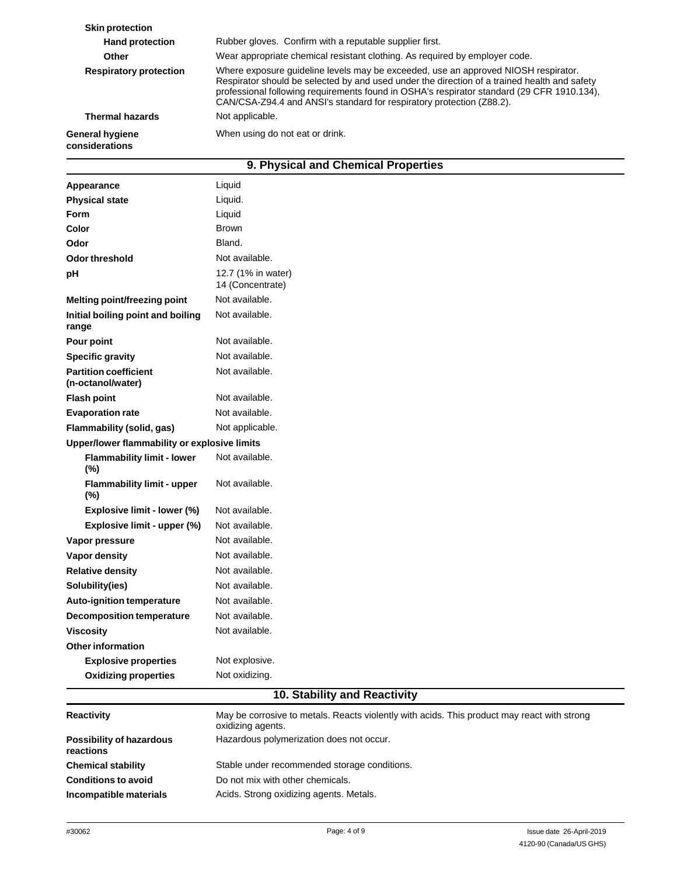| <b>General hygiene</b><br>considerations | When using do not eat or drink.                                                                                                                                                                                                                                                                                                                           |
|------------------------------------------|-----------------------------------------------------------------------------------------------------------------------------------------------------------------------------------------------------------------------------------------------------------------------------------------------------------------------------------------------------------|
| <b>Thermal hazards</b>                   | Not applicable.                                                                                                                                                                                                                                                                                                                                           |
| <b>Respiratory protection</b>            | Where exposure guideline levels may be exceeded, use an approved NIOSH respirator.<br>Respirator should be selected by and used under the direction of a trained health and safety<br>professional following requirements found in OSHA's respirator standard (29 CFR 1910.134),<br>CAN/CSA-Z94.4 and ANSI's standard for respiratory protection (Z88.2). |
| Other                                    | Wear appropriate chemical resistant clothing. As required by employer code.                                                                                                                                                                                                                                                                               |
| <b>Hand protection</b>                   | Rubber gloves. Confirm with a reputable supplier first.                                                                                                                                                                                                                                                                                                   |
| <b>Skin protection</b>                   |                                                                                                                                                                                                                                                                                                                                                           |

## **9. Physical and Chemical Properties**

| Appearance                                        | Liquid                                                                                        |  |
|---------------------------------------------------|-----------------------------------------------------------------------------------------------|--|
| <b>Physical state</b>                             | Liquid.                                                                                       |  |
| <b>Form</b>                                       | Liquid                                                                                        |  |
| Color                                             | <b>Brown</b>                                                                                  |  |
| Odor                                              | Bland.                                                                                        |  |
| Odor threshold                                    | Not available.                                                                                |  |
| pH                                                | 12.7 (1% in water)<br>14 (Concentrate)                                                        |  |
| Melting point/freezing point                      | Not available.                                                                                |  |
| Initial boiling point and boiling<br>range        | Not available.                                                                                |  |
| Pour point                                        | Not available.                                                                                |  |
| <b>Specific gravity</b>                           | Not available.                                                                                |  |
| <b>Partition coefficient</b><br>(n-octanol/water) | Not available.                                                                                |  |
| <b>Flash point</b>                                | Not available.                                                                                |  |
| <b>Evaporation rate</b>                           | Not available.                                                                                |  |
| Flammability (solid, gas)                         | Not applicable.                                                                               |  |
| Upper/lower flammability or explosive limits      |                                                                                               |  |
| <b>Flammability limit - lower</b><br>(%)          | Not available.                                                                                |  |
| <b>Flammability limit - upper</b><br>(%)          | Not available.                                                                                |  |
| Explosive limit - lower (%)                       | Not available.                                                                                |  |
| Explosive limit - upper (%)                       | Not available.                                                                                |  |
| Vapor pressure                                    | Not available.                                                                                |  |
| Vapor density                                     | Not available.                                                                                |  |
| <b>Relative density</b>                           | Not available.                                                                                |  |
| Solubility(ies)                                   | Not available.                                                                                |  |
| <b>Auto-ignition temperature</b>                  | Not available.                                                                                |  |
| <b>Decomposition temperature</b>                  | Not available.                                                                                |  |
| <b>Viscosity</b>                                  | Not available.                                                                                |  |
| <b>Other information</b>                          |                                                                                               |  |
| <b>Explosive properties</b>                       | Not explosive.                                                                                |  |
| <b>Oxidizing properties</b>                       | Not oxidizing.<br>$\overline{AB}$ $\overline{BC}$<br>$\overline{1}$ D.<br><b>Alberta Card</b> |  |

## **10. Stability and Reactivity**

| <b>Reactivity</b>                     | May be corrosive to metals. Reacts violently with acids. This product may react with strong<br>oxidizing agents. |
|---------------------------------------|------------------------------------------------------------------------------------------------------------------|
| Possibility of hazardous<br>reactions | Hazardous polymerization does not occur.                                                                         |
| <b>Chemical stability</b>             | Stable under recommended storage conditions.                                                                     |
| <b>Conditions to avoid</b>            | Do not mix with other chemicals.                                                                                 |
| Incompatible materials                | Acids. Strong oxidizing agents. Metals.                                                                          |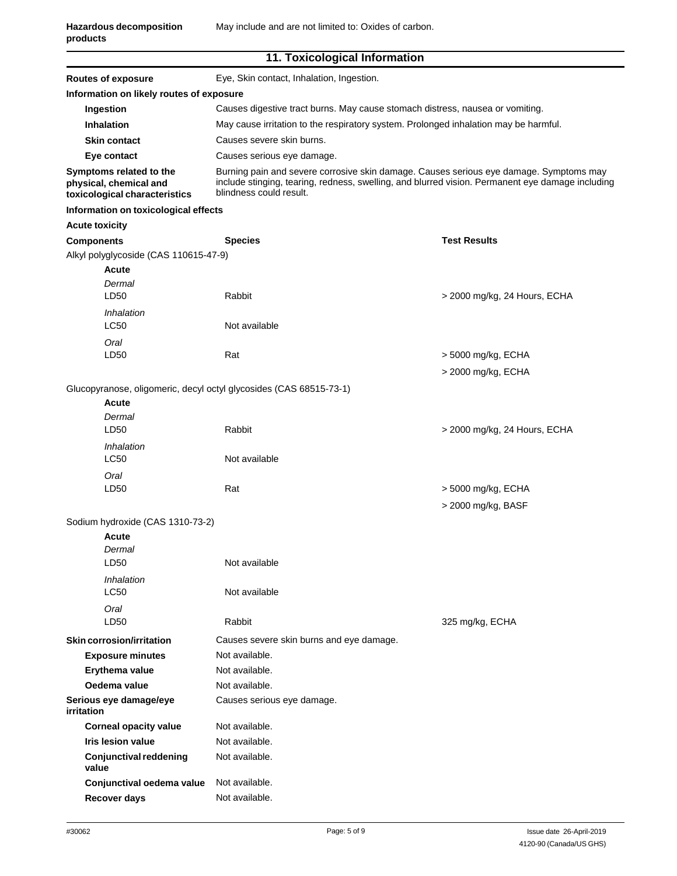| <b>Routes of exposure</b>                                                                    | Eye, Skin contact, Inhalation, Ingestion.                                                                                                                                                                             |                                          |  |  |
|----------------------------------------------------------------------------------------------|-----------------------------------------------------------------------------------------------------------------------------------------------------------------------------------------------------------------------|------------------------------------------|--|--|
| Information on likely routes of exposure                                                     |                                                                                                                                                                                                                       |                                          |  |  |
| Ingestion                                                                                    | Causes digestive tract burns. May cause stomach distress, nausea or vomiting.                                                                                                                                         |                                          |  |  |
| Inhalation                                                                                   | May cause irritation to the respiratory system. Prolonged inhalation may be harmful.                                                                                                                                  |                                          |  |  |
| <b>Skin contact</b>                                                                          | Causes severe skin burns.                                                                                                                                                                                             |                                          |  |  |
| Eye contact                                                                                  | Causes serious eye damage.                                                                                                                                                                                            |                                          |  |  |
| Symptoms related to the<br>physical, chemical and<br>toxicological characteristics           | Burning pain and severe corrosive skin damage. Causes serious eye damage. Symptoms may<br>include stinging, tearing, redness, swelling, and blurred vision. Permanent eye damage including<br>blindness could result. |                                          |  |  |
| Information on toxicological effects                                                         |                                                                                                                                                                                                                       |                                          |  |  |
| <b>Acute toxicity</b>                                                                        |                                                                                                                                                                                                                       |                                          |  |  |
| <b>Components</b>                                                                            | <b>Species</b>                                                                                                                                                                                                        | <b>Test Results</b>                      |  |  |
| Alkyl polyglycoside (CAS 110615-47-9)<br><b>Acute</b><br>Dermal                              |                                                                                                                                                                                                                       |                                          |  |  |
| LD50                                                                                         | Rabbit                                                                                                                                                                                                                | > 2000 mg/kg, 24 Hours, ECHA             |  |  |
| <i><b>Inhalation</b></i>                                                                     | Not available                                                                                                                                                                                                         |                                          |  |  |
| LC50                                                                                         |                                                                                                                                                                                                                       |                                          |  |  |
| Oral<br>LD50                                                                                 | Rat                                                                                                                                                                                                                   | > 5000 mg/kg, ECHA                       |  |  |
|                                                                                              |                                                                                                                                                                                                                       |                                          |  |  |
|                                                                                              |                                                                                                                                                                                                                       | > 2000 mg/kg, ECHA                       |  |  |
| Glucopyranose, oligomeric, decyl octyl glycosides (CAS 68515-73-1)<br><b>Acute</b><br>Dermal |                                                                                                                                                                                                                       |                                          |  |  |
| LD <sub>50</sub>                                                                             | Rabbit                                                                                                                                                                                                                | > 2000 mg/kg, 24 Hours, ECHA             |  |  |
| Inhalation<br>LC50                                                                           | Not available                                                                                                                                                                                                         |                                          |  |  |
| Oral<br>LD50                                                                                 | Rat                                                                                                                                                                                                                   | > 5000 mg/kg, ECHA<br>> 2000 mg/kg, BASF |  |  |
| Sodium hydroxide (CAS 1310-73-2)                                                             |                                                                                                                                                                                                                       |                                          |  |  |
| <b>Acute</b><br>Dermal                                                                       |                                                                                                                                                                                                                       |                                          |  |  |
| LD50                                                                                         | Not available                                                                                                                                                                                                         |                                          |  |  |
| Inhalation<br><b>LC50</b>                                                                    | Not available                                                                                                                                                                                                         |                                          |  |  |
| Oral                                                                                         |                                                                                                                                                                                                                       |                                          |  |  |
| LD50                                                                                         | Rabbit                                                                                                                                                                                                                | 325 mg/kg, ECHA                          |  |  |
| Skin corrosion/irritation                                                                    | Causes severe skin burns and eye damage.                                                                                                                                                                              |                                          |  |  |
| <b>Exposure minutes</b>                                                                      | Not available.                                                                                                                                                                                                        |                                          |  |  |
| Erythema value                                                                               | Not available.                                                                                                                                                                                                        |                                          |  |  |
| Oedema value                                                                                 | Not available.                                                                                                                                                                                                        |                                          |  |  |
| Serious eye damage/eye<br><i>irritation</i>                                                  | Causes serious eye damage.                                                                                                                                                                                            |                                          |  |  |
| <b>Corneal opacity value</b>                                                                 | Not available.                                                                                                                                                                                                        |                                          |  |  |
| <b>Iris lesion value</b>                                                                     | Not available.                                                                                                                                                                                                        |                                          |  |  |
| <b>Conjunctival reddening</b><br>value                                                       | Not available.                                                                                                                                                                                                        |                                          |  |  |
| Conjunctival oedema value                                                                    | Not available.                                                                                                                                                                                                        |                                          |  |  |
| Recover days                                                                                 | Not available.                                                                                                                                                                                                        |                                          |  |  |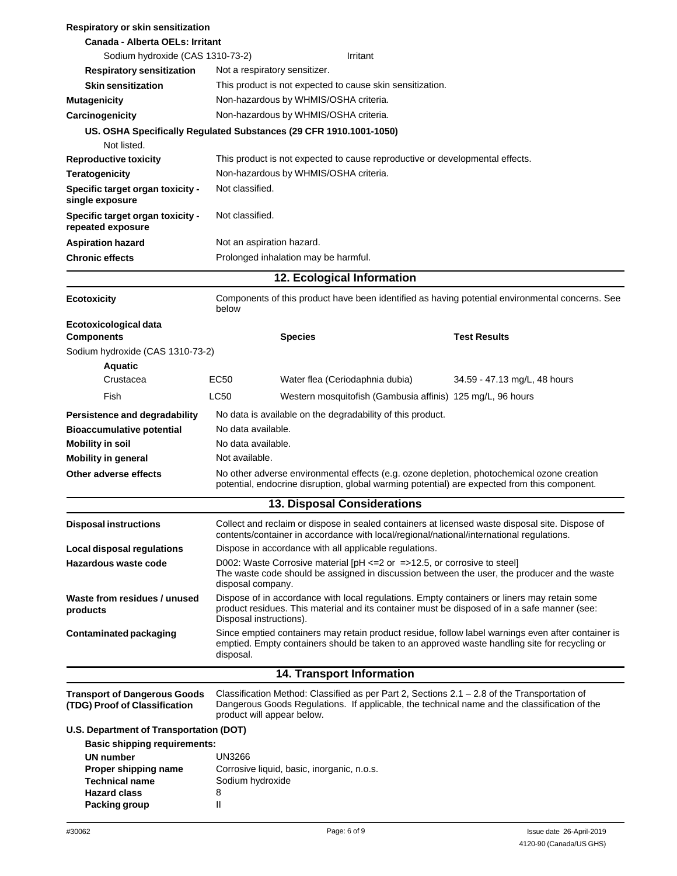| Respiratory or skin sensitization                                                 |                                                                                                                                                                                                                        |                               |                                                                              |                                                                                                                                                                                                     |  |
|-----------------------------------------------------------------------------------|------------------------------------------------------------------------------------------------------------------------------------------------------------------------------------------------------------------------|-------------------------------|------------------------------------------------------------------------------|-----------------------------------------------------------------------------------------------------------------------------------------------------------------------------------------------------|--|
| Canada - Alberta OELs: Irritant                                                   |                                                                                                                                                                                                                        |                               |                                                                              |                                                                                                                                                                                                     |  |
| Sodium hydroxide (CAS 1310-73-2)                                                  |                                                                                                                                                                                                                        |                               | Irritant                                                                     |                                                                                                                                                                                                     |  |
| <b>Respiratory sensitization</b>                                                  |                                                                                                                                                                                                                        | Not a respiratory sensitizer. |                                                                              |                                                                                                                                                                                                     |  |
| <b>Skin sensitization</b>                                                         |                                                                                                                                                                                                                        |                               | This product is not expected to cause skin sensitization.                    |                                                                                                                                                                                                     |  |
| <b>Mutagenicity</b>                                                               | Non-hazardous by WHMIS/OSHA criteria.                                                                                                                                                                                  |                               |                                                                              |                                                                                                                                                                                                     |  |
| Carcinogenicity                                                                   | Non-hazardous by WHMIS/OSHA criteria.                                                                                                                                                                                  |                               |                                                                              |                                                                                                                                                                                                     |  |
| US. OSHA Specifically Regulated Substances (29 CFR 1910.1001-1050)<br>Not listed. |                                                                                                                                                                                                                        |                               |                                                                              |                                                                                                                                                                                                     |  |
| <b>Reproductive toxicity</b>                                                      |                                                                                                                                                                                                                        |                               | This product is not expected to cause reproductive or developmental effects. |                                                                                                                                                                                                     |  |
| <b>Teratogenicity</b>                                                             | Non-hazardous by WHMIS/OSHA criteria.                                                                                                                                                                                  |                               |                                                                              |                                                                                                                                                                                                     |  |
| Specific target organ toxicity -<br>single exposure                               | Not classified.                                                                                                                                                                                                        |                               |                                                                              |                                                                                                                                                                                                     |  |
| Specific target organ toxicity -<br>repeated exposure                             | Not classified.                                                                                                                                                                                                        |                               |                                                                              |                                                                                                                                                                                                     |  |
| <b>Aspiration hazard</b>                                                          | Not an aspiration hazard.                                                                                                                                                                                              |                               |                                                                              |                                                                                                                                                                                                     |  |
| <b>Chronic effects</b>                                                            | Prolonged inhalation may be harmful.                                                                                                                                                                                   |                               |                                                                              |                                                                                                                                                                                                     |  |
|                                                                                   |                                                                                                                                                                                                                        |                               | 12. Ecological Information                                                   |                                                                                                                                                                                                     |  |
| <b>Ecotoxicity</b>                                                                | below                                                                                                                                                                                                                  |                               |                                                                              | Components of this product have been identified as having potential environmental concerns. See                                                                                                     |  |
| Ecotoxicological data                                                             |                                                                                                                                                                                                                        |                               |                                                                              |                                                                                                                                                                                                     |  |
| <b>Components</b>                                                                 |                                                                                                                                                                                                                        | <b>Species</b>                |                                                                              | <b>Test Results</b>                                                                                                                                                                                 |  |
| Sodium hydroxide (CAS 1310-73-2)                                                  |                                                                                                                                                                                                                        |                               |                                                                              |                                                                                                                                                                                                     |  |
| Aquatic<br>Crustacea                                                              | EC50                                                                                                                                                                                                                   |                               | Water flea (Ceriodaphnia dubia)                                              | 34.59 - 47.13 mg/L, 48 hours                                                                                                                                                                        |  |
| Fish                                                                              | LC50                                                                                                                                                                                                                   |                               |                                                                              |                                                                                                                                                                                                     |  |
|                                                                                   |                                                                                                                                                                                                                        |                               | Western mosquitofish (Gambusia affinis) 125 mg/L, 96 hours                   |                                                                                                                                                                                                     |  |
| Persistence and degradability                                                     |                                                                                                                                                                                                                        |                               | No data is available on the degradability of this product.                   |                                                                                                                                                                                                     |  |
| <b>Bioaccumulative potential</b>                                                  | No data available.                                                                                                                                                                                                     |                               |                                                                              |                                                                                                                                                                                                     |  |
| <b>Mobility in soil</b>                                                           | No data available.                                                                                                                                                                                                     |                               |                                                                              |                                                                                                                                                                                                     |  |
| <b>Mobility in general</b>                                                        | Not available.                                                                                                                                                                                                         |                               |                                                                              |                                                                                                                                                                                                     |  |
| Other adverse effects                                                             |                                                                                                                                                                                                                        |                               |                                                                              | No other adverse environmental effects (e.g. ozone depletion, photochemical ozone creation<br>potential, endocrine disruption, global warming potential) are expected from this component.          |  |
|                                                                                   |                                                                                                                                                                                                                        |                               | <b>13. Disposal Considerations</b>                                           |                                                                                                                                                                                                     |  |
| <b>Disposal instructions</b>                                                      |                                                                                                                                                                                                                        |                               |                                                                              | Collect and reclaim or dispose in sealed containers at licensed waste disposal site. Dispose of<br>contents/container in accordance with local/regional/national/international regulations.         |  |
| <b>Local disposal regulations</b>                                                 |                                                                                                                                                                                                                        |                               | Dispose in accordance with all applicable regulations.                       |                                                                                                                                                                                                     |  |
| <b>Hazardous waste code</b>                                                       | D002: Waste Corrosive material [pH <= 2 or = > 12.5, or corrosive to steel]<br>The waste code should be assigned in discussion between the user, the producer and the waste<br>disposal company.                       |                               |                                                                              |                                                                                                                                                                                                     |  |
| Waste from residues / unused<br>products                                          | Dispose of in accordance with local regulations. Empty containers or liners may retain some<br>product residues. This material and its container must be disposed of in a safe manner (see:<br>Disposal instructions). |                               |                                                                              |                                                                                                                                                                                                     |  |
| <b>Contaminated packaging</b>                                                     | disposal.                                                                                                                                                                                                              |                               |                                                                              | Since emptied containers may retain product residue, follow label warnings even after container is<br>emptied. Empty containers should be taken to an approved waste handling site for recycling or |  |
|                                                                                   |                                                                                                                                                                                                                        |                               | 14. Transport Information                                                    |                                                                                                                                                                                                     |  |
| <b>Transport of Dangerous Goods</b><br>(TDG) Proof of Classification              | product will appear below.                                                                                                                                                                                             |                               |                                                                              | Classification Method: Classified as per Part 2, Sections $2.1 - 2.8$ of the Transportation of<br>Dangerous Goods Regulations. If applicable, the technical name and the classification of the      |  |
| U.S. Department of Transportation (DOT)                                           |                                                                                                                                                                                                                        |                               |                                                                              |                                                                                                                                                                                                     |  |
| <b>Basic shipping requirements:</b>                                               |                                                                                                                                                                                                                        |                               |                                                                              |                                                                                                                                                                                                     |  |
| UN number                                                                         | UN3266                                                                                                                                                                                                                 |                               |                                                                              |                                                                                                                                                                                                     |  |
| Proper shipping name<br><b>Technical name</b>                                     | Corrosive liquid, basic, inorganic, n.o.s.<br>Sodium hydroxide                                                                                                                                                         |                               |                                                                              |                                                                                                                                                                                                     |  |
| <b>Hazard class</b>                                                               | 8                                                                                                                                                                                                                      |                               |                                                                              |                                                                                                                                                                                                     |  |
| <b>Packing group</b>                                                              | Ш                                                                                                                                                                                                                      |                               |                                                                              |                                                                                                                                                                                                     |  |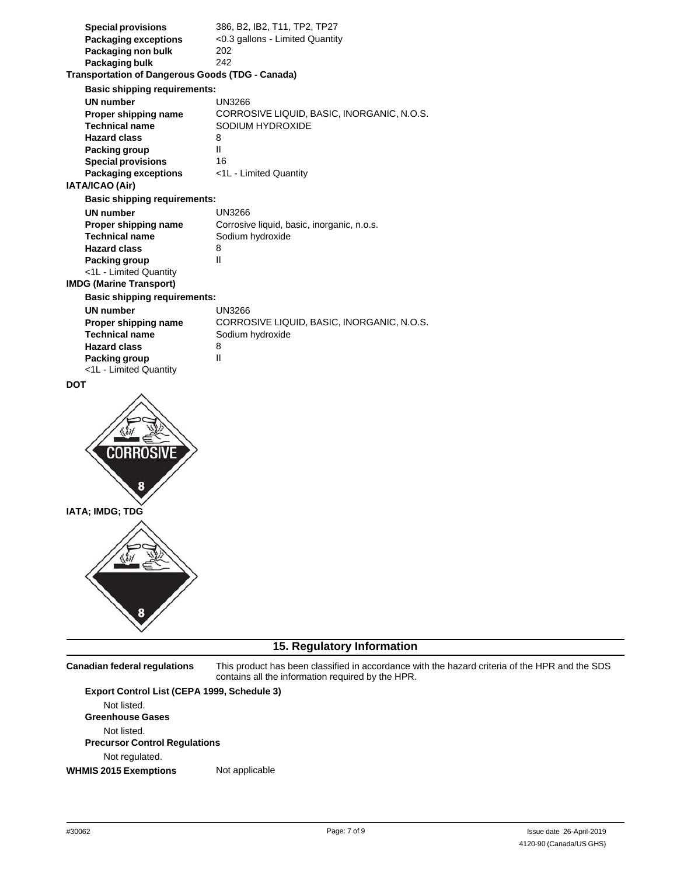| <b>Special provisions</b><br><b>Packaging exceptions</b><br>Packaging non bulk<br>Packaging bulk<br><b>Transportation of Dangerous Goods (TDG - Canada)</b><br><b>Basic shipping requirements:</b> | 386, B2, IB2, T11, TP2, TP27<br><0.3 gallons - Limited Quantity<br>202<br>242 |
|----------------------------------------------------------------------------------------------------------------------------------------------------------------------------------------------------|-------------------------------------------------------------------------------|
| <b>UN</b> number                                                                                                                                                                                   | UN3266                                                                        |
| Proper shipping name                                                                                                                                                                               | CORROSIVE LIQUID, BASIC, INORGANIC, N.O.S.                                    |
| <b>Technical name</b><br><b>Hazard class</b>                                                                                                                                                       | SODIUM HYDROXIDE<br>8                                                         |
| Packing group                                                                                                                                                                                      | Ш                                                                             |
| <b>Special provisions</b>                                                                                                                                                                          | 16                                                                            |
| Packaging exceptions                                                                                                                                                                               | <1L - Limited Quantity                                                        |
| IATA/ICAO (Air)                                                                                                                                                                                    |                                                                               |
| <b>Basic shipping requirements:</b>                                                                                                                                                                |                                                                               |
| <b>UN</b> number                                                                                                                                                                                   | <b>UN3266</b>                                                                 |
| Proper shipping name                                                                                                                                                                               | Corrosive liquid, basic, inorganic, n.o.s.                                    |
| <b>Technical name</b>                                                                                                                                                                              | Sodium hydroxide<br>8                                                         |
| <b>Hazard class</b><br>Packing group                                                                                                                                                               | Ш                                                                             |
| <1L - Limited Quantity                                                                                                                                                                             |                                                                               |
| <b>IMDG (Marine Transport)</b>                                                                                                                                                                     |                                                                               |
| <b>Basic shipping requirements:</b>                                                                                                                                                                |                                                                               |
| <b>UN</b> number                                                                                                                                                                                   | UN3266                                                                        |
| Proper shipping name                                                                                                                                                                               | CORROSIVE LIQUID, BASIC, INORGANIC, N.O.S.                                    |
| <b>Technical name</b>                                                                                                                                                                              | Sodium hydroxide                                                              |
| <b>Hazard class</b><br>Packing group                                                                                                                                                               | 8<br>Ш                                                                        |
| <1L - Limited Quantity                                                                                                                                                                             |                                                                               |
| <b>DOT</b>                                                                                                                                                                                         |                                                                               |
|                                                                                                                                                                                                    |                                                                               |
| IATA; IMDG; TDG                                                                                                                                                                                    |                                                                               |
|                                                                                                                                                                                                    |                                                                               |

## **15. Regulatory Information**

**Canadian federal regulations** This product has been classified in accordance with the hazard criteria of the HPR and the SDS contains all the information required by the HPR. **Export Control List (CEPA 1999, Schedule 3)** Not listed. **Greenhouse Gases** Not listed. **Precursor Control Regulations** Not regulated. **WHMIS 2015 Exemptions** Not applicable

Ÿ,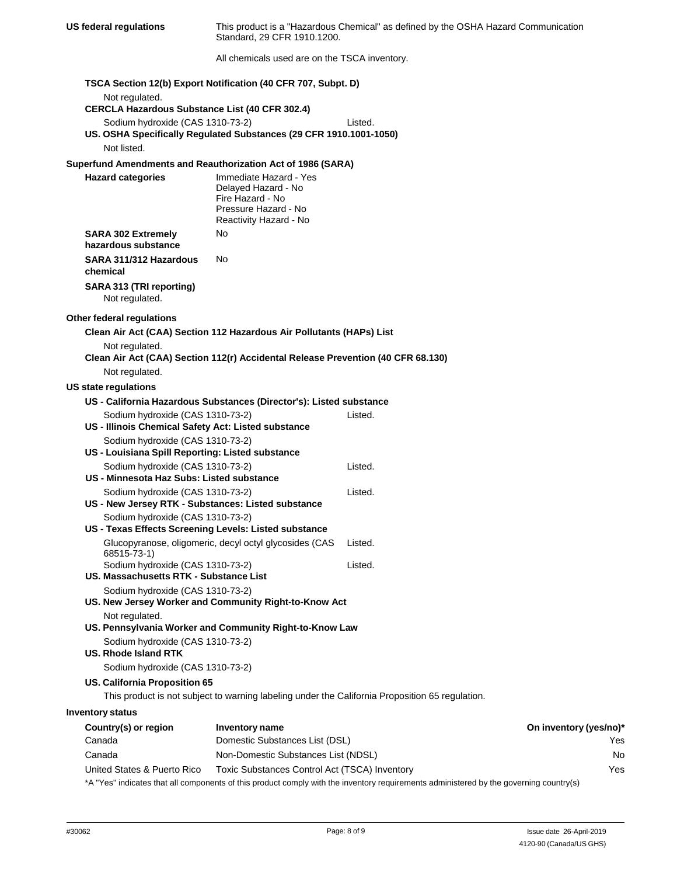| This product is a "Hazardous Chemical" as defined by the OSHA Hazard Communication<br><b>US federal regulations</b><br>Standard, 29 CFR 1910.1200. |                                                                                                                     |                                                                                                 |                        |
|----------------------------------------------------------------------------------------------------------------------------------------------------|---------------------------------------------------------------------------------------------------------------------|-------------------------------------------------------------------------------------------------|------------------------|
|                                                                                                                                                    | All chemicals used are on the TSCA inventory.                                                                       |                                                                                                 |                        |
|                                                                                                                                                    | TSCA Section 12(b) Export Notification (40 CFR 707, Subpt. D)                                                       |                                                                                                 |                        |
| Not regulated.<br><b>CERCLA Hazardous Substance List (40 CFR 302.4)</b>                                                                            |                                                                                                                     |                                                                                                 |                        |
| Sodium hydroxide (CAS 1310-73-2)                                                                                                                   |                                                                                                                     | Listed.                                                                                         |                        |
| Not listed.                                                                                                                                        | US. OSHA Specifically Regulated Substances (29 CFR 1910.1001-1050)                                                  |                                                                                                 |                        |
| Superfund Amendments and Reauthorization Act of 1986 (SARA)                                                                                        |                                                                                                                     |                                                                                                 |                        |
| <b>Hazard categories</b>                                                                                                                           | Immediate Hazard - Yes<br>Delayed Hazard - No<br>Fire Hazard - No<br>Pressure Hazard - No<br>Reactivity Hazard - No |                                                                                                 |                        |
| <b>SARA 302 Extremely</b><br>hazardous substance                                                                                                   | No                                                                                                                  |                                                                                                 |                        |
| SARA 311/312 Hazardous<br>chemical                                                                                                                 | No.                                                                                                                 |                                                                                                 |                        |
| SARA 313 (TRI reporting)<br>Not regulated.                                                                                                         |                                                                                                                     |                                                                                                 |                        |
| Other federal regulations                                                                                                                          |                                                                                                                     |                                                                                                 |                        |
|                                                                                                                                                    | Clean Air Act (CAA) Section 112 Hazardous Air Pollutants (HAPs) List                                                |                                                                                                 |                        |
| Not regulated.                                                                                                                                     | Clean Air Act (CAA) Section 112(r) Accidental Release Prevention (40 CFR 68.130)                                    |                                                                                                 |                        |
| Not regulated.                                                                                                                                     |                                                                                                                     |                                                                                                 |                        |
| <b>US state regulations</b>                                                                                                                        |                                                                                                                     |                                                                                                 |                        |
|                                                                                                                                                    | US - California Hazardous Substances (Director's): Listed substance                                                 | Listed.                                                                                         |                        |
| Sodium hydroxide (CAS 1310-73-2)<br>US - Illinois Chemical Safety Act: Listed substance                                                            |                                                                                                                     |                                                                                                 |                        |
| Sodium hydroxide (CAS 1310-73-2)<br>US - Louisiana Spill Reporting: Listed substance                                                               |                                                                                                                     |                                                                                                 |                        |
| Sodium hydroxide (CAS 1310-73-2)<br>US - Minnesota Haz Subs: Listed substance                                                                      |                                                                                                                     | Listed.                                                                                         |                        |
| Sodium hydroxide (CAS 1310-73-2)<br>US - New Jersey RTK - Substances: Listed substance                                                             |                                                                                                                     | Listed.                                                                                         |                        |
| Sodium hydroxide (CAS 1310-73-2)<br>US - Texas Effects Screening Levels: Listed substance                                                          |                                                                                                                     |                                                                                                 |                        |
| 68515-73-1)                                                                                                                                        | Glucopyranose, oligomeric, decyl octyl glycosides (CAS                                                              | Listed.                                                                                         |                        |
| Sodium hydroxide (CAS 1310-73-2)<br>US. Massachusetts RTK - Substance List                                                                         |                                                                                                                     | Listed.                                                                                         |                        |
| Sodium hydroxide (CAS 1310-73-2)                                                                                                                   | US. New Jersey Worker and Community Right-to-Know Act                                                               |                                                                                                 |                        |
| Not regulated.                                                                                                                                     | US. Pennsylvania Worker and Community Right-to-Know Law                                                             |                                                                                                 |                        |
| Sodium hydroxide (CAS 1310-73-2)<br>US. Rhode Island RTK                                                                                           |                                                                                                                     |                                                                                                 |                        |
| Sodium hydroxide (CAS 1310-73-2)                                                                                                                   |                                                                                                                     |                                                                                                 |                        |
| US. California Proposition 65                                                                                                                      |                                                                                                                     |                                                                                                 |                        |
|                                                                                                                                                    |                                                                                                                     | This product is not subject to warning labeling under the California Proposition 65 regulation. |                        |
| <b>Inventory status</b>                                                                                                                            |                                                                                                                     |                                                                                                 |                        |
| Country(s) or region                                                                                                                               | <b>Inventory name</b>                                                                                               |                                                                                                 | On inventory (yes/no)* |
| Canada                                                                                                                                             | Domestic Substances List (DSL)                                                                                      |                                                                                                 | Yes                    |
| Canada                                                                                                                                             | Non-Domestic Substances List (NDSL)                                                                                 |                                                                                                 | No                     |
| United States & Puerto Rico                                                                                                                        | Toxic Substances Control Act (TSCA) Inventory                                                                       |                                                                                                 | Yes                    |

\*A "Yes" indicates that all components of this product comply with the inventory requirements administered by the governing country(s)